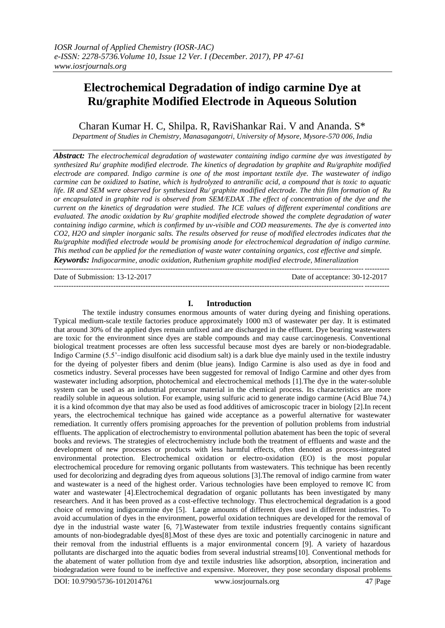## **Electrochemical Degradation of indigo carmine Dye at Ru/graphite Modified Electrode in Aqueous Solution**

Charan Kumar H. C, Shilpa. R, RaviShankar Rai. V and Ananda. S\* *Department of Studies in Chemistry, Manasagangotri, University of Mysore, Mysore-570 006, India*

*Abstract: The electrochemical degradation of wastewater containing indigo carmine dye was investigated by synthesized Ru/ graphite modified electrode. The kinetics of degradation by graphite and Ru/graphite modified electrode are compared. Indigo carmine is one of the most important textile dye. The wastewater of indigo carmine can be oxidized to Isatine, which is hydrolyzed to antranilic acid, a compound that is toxic to aquatic life. IR and SEM were observed for synthesized Ru/ graphite modified electrode. The thin film formation of Ru or encapsulated in graphite rod is observed from SEM/EDAX .The effect of concentration of the dye and the current on the kinetics of degradation were studied. The ICE values of different experimental conditions are evaluated. The anodic oxidation by Ru/ graphite modified electrode showed the complete degradation of water containing indigo carmine, which is confirmed by uv-visible and COD measurements. The dye is converted into CO2, H2O and simpler inorganic salts. The results observed for reuse of modified electrodes indicates that the Ru/graphite modified electrode would be promising anode for electrochemical degradation of indigo carmine. This method can be applied for the remediation of waste water containing organics, cost effective and simple. Keywords: Indigocarmine, anodic oxidation, Ruthenium graphite modified electrode, Mineralization*

---------------------------------------------------------------------------------------------------------------------------------------

Date of Submission: 13-12-2017 Date of acceptance: 30-12-2017

 $-1.1$ 

#### **I. Introduction**

The textile industry consumes enormous amounts of water during dyeing and finishing operations. Typical medium-scale textile factories produce approximately 1000 m3 of wastewater per day. It is estimated that around 30% of the applied dyes remain unfixed and are discharged in the effluent. Dye bearing wastewaters are toxic for the environment since dyes are stable compounds and may cause carcinogenesis. Conventional biological treatment processes are often less successful because most dyes are barely or non-biodegradable. Indigo Carmine (5.5'–indigo disulfonic acid disodium salt) is a dark blue dye mainly used in the textile industry for the dyeing of polyester fibers and denim (blue jeans). Indigo Carmine is also used as dye in food and cosmetics industry. Several processes have been suggested for removal of Indigo Carmine and other dyes from wastewater including adsorption, photochemical and electrochemical methods [1].The dye in the water-soluble system can be used as an industrial precursor material in the chemical process. Its characteristics are more readily soluble in aqueous solution. For example, using sulfuric acid to generate indigo carmine (Acid Blue 74,) it is a kind ofcommon dye that may also be used as food additives of amicroscopic tracer in biology [2].In recent years, the electrochemical technique has gained wide acceptance as a powerful alternative for wastewater remediation. It currently offers promising approaches for the prevention of pollution problems from industrial effluents. The application of electrochemistry to environmental pollution abatement has been the topic of several books and reviews. The strategies of electrochemistry include both the treatment of effluents and waste and the development of new processes or products with less harmful effects, often denoted as process-integrated environmental protection. Electrochemical oxidation or electro-oxidation (EO) is the most popular electrochemical procedure for removing organic pollutants from wastewaters. This technique has been recently used for decolorizing and degrading dyes from aqueous solutions [3].The removal of indigo carmine from water and wastewater is a need of the highest order. Various technologies have been employed to remove IC from water and wastewater [4].Electrochemical degradation of organic pollutants has been investigated by many researchers. And it has been proved as a cost-effective technology. Thus electrochemical degradation is a good choice of removing indigocarmine dye [5]. Large amounts of different dyes used in different industries. To avoid accumulation of dyes in the environment, powerful oxidation techniques are developed for the removal of dye in the industrial waste water [6, 7].Wastewater from textile industries frequently contains significant amounts of non-biodegradable dyes[8].Most of these dyes are toxic and potentially carcinogenic in nature and their removal from the industrial effluents is a major environmental concern [9]. A variety of hazardous pollutants are discharged into the aquatic bodies from several industrial streams[10]. Conventional methods for the abatement of water pollution from dye and textile industries like adsorption, absorption, incineration and biodegradation were found to be ineffective and expensive. Moreover, they pose secondary disposal problems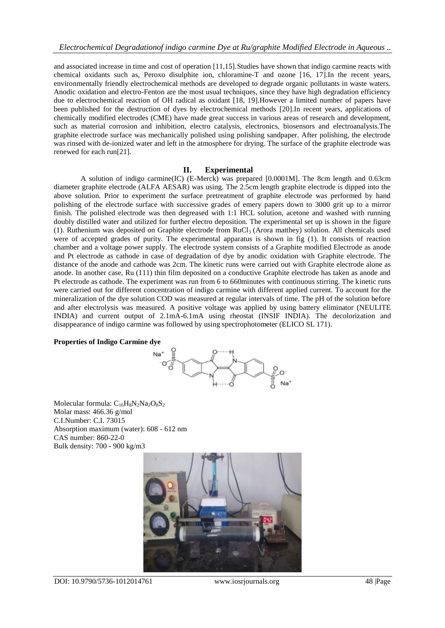and associated increase in time and cost of operation [11,15].Studies have shown that indigo carmine reacts with chemical oxidants such as, Peroxo disulphite ion, chloramine-T and ozone [16, 17].In the recent years, environmentally friendly electrochemical methods are developed to degrade organic pollutants in waste waters. Anodic oxidation and electro-Fenton are the most usual techniques, since they have high degradation efficiency due to electrochemical reaction of OH radical as oxidant [18, 19].However a limited number of papers have been published for the destruction of dyes by electrochemical methods [20].In recent years, applications of chemically modified electrodes (CME) have made great success in various areas of research and development, such as material corrosion and inhibition, electro catalysis, electronics, biosensors and electroanalysis.The graphite electrode surface was mechanically polished using polishing sandpaper. After polishing, the electrode was rinsed with de-ionized water and left in the atmosphere for drying. The surface of the graphite electrode was renewed for each run[21].

#### **II. Experimental**

A solution of indigo carmine(IC) (E-Merck) was prepared [0.0001M]. The 8cm length and 0.63cm diameter graphite electrode (ALFA AESAR) was using. The 2.5cm length graphite electrode is dipped into the above solution. Prior to experiment the surface pretreatment of graphite electrode was performed by hand polishing of the electrode surface with successive grades of emery papers down to 3000 grit up to a mirror finish. The polished electrode was then degreased with 1:1 HCL solution, acetone and washed with running doubly distilled water and utilized for further electro deposition. The experimental set up is shown in the figure (1). Ruthenium was deposited on Graphite electrode from  $RuCl<sub>3</sub>$  (Arora matthey) solution. All chemicals used were of accepted grades of purity. The experimental apparatus is shown in fig (1). It consists of reaction chamber and a voltage power supply. The electrode system consists of a Graphite modified Electrode as anode and Pt electrode as cathode in case of degradation of dye by anodic oxidation with Graphite electrode. The distance of the anode and cathode was 2cm. The kinetic runs were carried out with Graphite electrode alone as anode. In another case, Ru (111) thin film deposited on a conductive Graphite electrode has taken as anode and Pt electrode as cathode. The experiment was run from 6 to 660minutes with continuous stirring. The kinetic runs were carried out for different concentration of indigo carmine with different applied current. To account for the mineralization of the dye solution COD was measured at regular intervals of time. The pH of the solution before and after electrolysis was measured. A positive voltage was applied by using battery eliminator (NEULITE INDIA) and current output of 2.1mA-6.1mA using rheostat (INSIF INDIA). The decolorization and disappearance of indigo carmine was followed by using spectrophotometer (ELICO SL 171).

#### **Properties of Indigo Carmine dye**



Molecular formula:  $C_{16}H_8N_2Na_2O_8S_2$ Molar mass: 466.36 g/mol C.I.Number: C.I. 73015 Absorption maximum (water): 608 - 612 nm CAS number: 860-22-0 Bulk density: 700 - 900 kg/m3

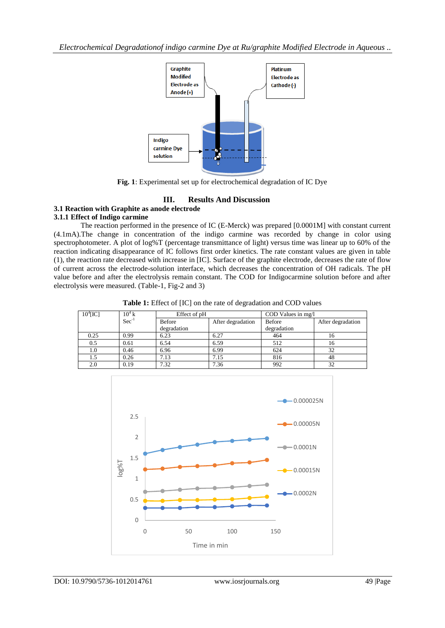*Electrochemical Degradationof indigo carmine Dye at Ru/graphite Modified Electrode in Aqueous ..*



**Fig. 1**: Experimental set up for electrochemical degradation of IC Dye

## **III. Results And Discussion**

#### **3.1 Reaction with Graphite as anode electrode 3.1.1 Effect of Indigo carmine**

The reaction performed in the presence of IC (E-Merck) was prepared [0.0001M] with constant current (4.1mA).The change in concentration of the indigo carmine was recorded by change in color using spectrophotometer. A plot of log%T (percentage transmittance of light) versus time was linear up to 60% of the reaction indicating disappearance of IC follows first order kinetics. The rate constant values are given in table (1), the reaction rate decreased with increase in [IC]. Surface of the graphite electrode, decreases the rate of flow of current across the electrode-solution interface, which decreases the concentration of OH radicals. The pH value before and after the electrolysis remain constant. The COD for Indigocarmine solution before and after electrolysis were measured. (Table-1, Fig-2 and 3)

**Table 1:** Effect of [IC] on the rate of degradation and COD values

| 10 <sup>4</sup> [IC] | $10^4$ k | Effect of pH  |                   | COD Values in mg/l |                   |
|----------------------|----------|---------------|-------------------|--------------------|-------------------|
|                      | $Sec-1$  | <b>Before</b> | After degradation | Before             | After degradation |
|                      |          | degradation   |                   | degradation        |                   |
| 0.25                 | 0.99     | 6.23          | 6.27              | 464                | 16                |
| 0.5                  | 0.61     | 6.54          | 6.59              | 512                | 16                |
| 1.0                  | 0.46     | 6.96          | 6.99              | 624                | 32                |
| 1.5                  | 0.26     | 7.13          | 7.15              | 816                | 48                |
| 2.0                  | 0.19     | 7.32          | 7.36              | 992                | 32                |

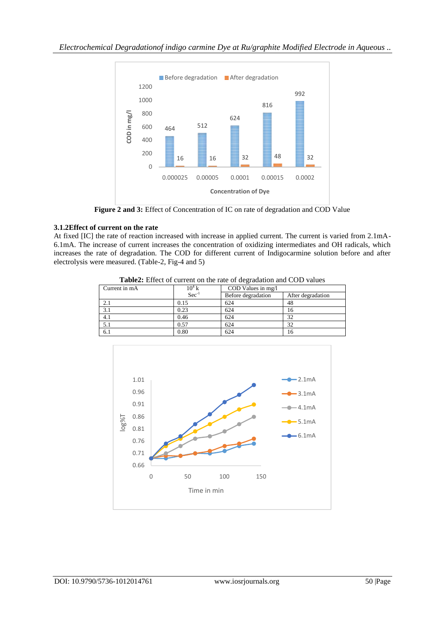

**Figure 2 and 3:** Effect of Concentration of IC on rate of degradation and COD Value

## **3.1.2Effect of current on the rate**

At fixed [IC] the rate of reaction increased with increase in applied current. The current is varied from 2.1mA-6.1mA. The increase of current increases the concentration of oxidizing intermediates and OH radicals, which increases the rate of degradation. The COD for different current of Indigocarmine solution before and after electrolysis were measured. (Table-2, Fig-4 and 5)

| <b>rapical</b> Effect of carrent on the rate of degradation and COD varios |                    |                    |                   |  |  |
|----------------------------------------------------------------------------|--------------------|--------------------|-------------------|--|--|
| Current in mA                                                              | $10^4\,\mathrm{K}$ | COD Values in mg/l |                   |  |  |
|                                                                            | $Sec-1$            | Before degradation | After degradation |  |  |
| 2.1                                                                        | 0.15               | 624                | 48                |  |  |
| 3.1                                                                        | 0.23               | 624                | 16                |  |  |
| 4.1                                                                        | 0.46               | 624                | 32                |  |  |
| 5.1                                                                        | 0.57               | 624                | 32                |  |  |
| 6.1                                                                        | 0.80               | 624                | 16                |  |  |

**Table2:** Effect of current on the rate of degradation and COD values

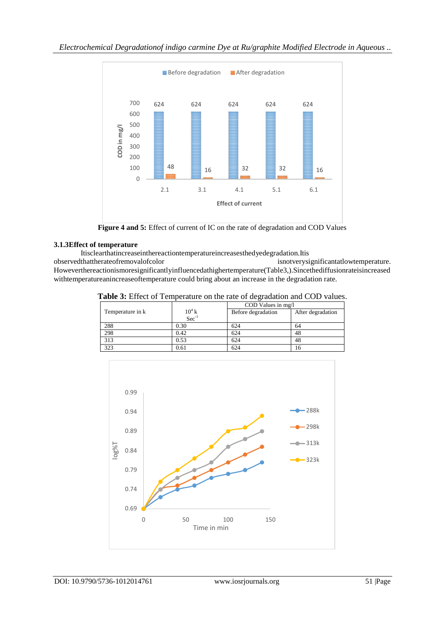

**Figure 4 and 5:** Effect of current of IC on the rate of degradation and COD Values

## **3.1.3Effect of temperature**

Itisclearthatincreaseinthereactiontemperatureincreasesthedyedegradation.Itis

isnotverysignificantatlowtemperature. Howeverthereactionismoresignificantlyinfluencedathighertemperature(Table3,).Sincethediffusionrateisincreased withtemperatureanincreaseoftemperature could bring about an increase in the degradation rate.

|  | Table 3: Effect of Temperature on the rate of degradation and COD values. |  |  |  |
|--|---------------------------------------------------------------------------|--|--|--|
|  |                                                                           |  |  |  |

|      | COD Values in mg/l            |                   |  |
|------|-------------------------------|-------------------|--|
|      | Before degradation            | After degradation |  |
|      |                               |                   |  |
| 0.30 | 624                           | 64                |  |
| 0.42 | 624                           | 48                |  |
| 0.53 | 624                           | 48                |  |
| 0.61 | 624                           |                   |  |
|      | $10^4$ k<br>Sec <sup>-1</sup> |                   |  |

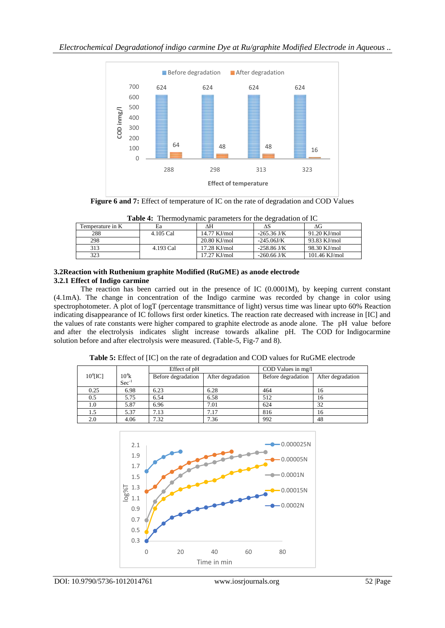

**Figure 6 and 7:** Effect of temperature of IC on the rate of degradation and COD Values

| Temperature in K | Ea        | ٨H             |               | ΛG              |
|------------------|-----------|----------------|---------------|-----------------|
| 288              | 4.105 Cal | $14.77$ KJ/mol | $-265.36$ J/K | $91.20$ KJ/mol  |
| 298              |           | $20.80$ KJ/mol | $-245.06$ J/K | 93.83 KJ/mol    |
| 313              | 4.193 Cal | $17.28$ KJ/mol | $-258.86$ J/K | 98.30 KJ/mol    |
| 323              |           | $17.27$ KJ/mol | $-260.66$ J/K | $101.46$ KJ/mol |

**Table 4:** Thermodynamic parameters for the degradation of IC

#### **3.2Reaction with Ruthenium graphite Modified (RuGME) as anode electrode 3.2.1 Effect of Indigo carmine**

The reaction has been carried out in the presence of IC (0.0001M), by keeping current constant (4.1mA). The change in concentration of the Indigo carmine was recorded by change in color using spectrophotometer. A plot of logT (percentage transmittance of light) versus time was linear upto 60% Reaction indicating disappearance of IC follows first order kinetics. The reaction rate decreased with increase in [IC] and the values of rate constants were higher compared to graphite electrode as anode alone. The pH value before and after the electrolysis indicates slight increase towards alkaline pH. The COD for Indigocarmine solution before and after electrolysis were measured. (Table-5, Fig-7 and 8).

**Table 5:** Effect of [IC] on the rate of degradation and COD values for RuGME electrode

|                      |                              | Effect of pH       |                   | COD Values in mg/l |                   |
|----------------------|------------------------------|--------------------|-------------------|--------------------|-------------------|
| 10 <sup>4</sup> [IC] | $10^4k$<br>Sec <sup>-1</sup> | Before degradation | After degradation | Before degradation | After degradation |
|                      |                              |                    |                   |                    |                   |
| 0.25                 | 6.98                         | 6.23               | 6.28              | 464                | 16                |
| 0.5                  | 5.75                         | 6.54               | 6.58              | 512                | 16                |
| 1.0                  | 5.87                         | 6.96               | 7.01              | 624                | 32                |
| 1.5                  | 5.37                         | 7.13               | 7.17              | 816                | 16                |
| 2.0                  | 4.06                         | 7.32               | 7.36              | 992                | 48                |

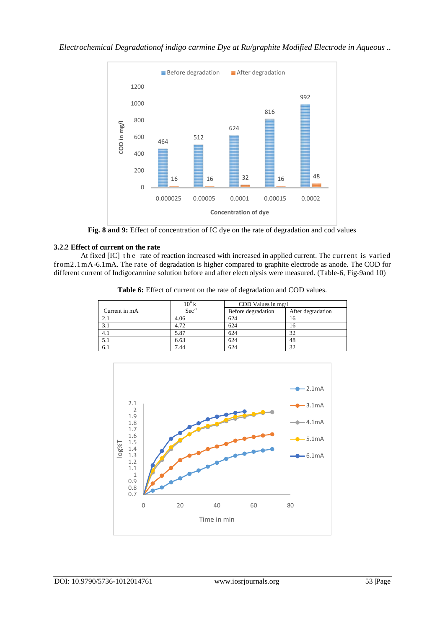

**Fig. 8 and 9:** Effect of concentration of IC dye on the rate of degradation and cod values

## **3.2.2 Effect of current on the rate**

At fixed [IC] the rate of reaction increased with increased in applied current. The current is varied from2.1mA-6.1mA. The rate of degradation is higher compared to graphite electrode as anode. The COD for different current of Indigocarmine solution before and after electrolysis were measured. (Table-6, Fig-9and 10)

|               | $\frac{10^4 \text{ k}}{\text{Sec}^{-1}}$ | COD Values in mg/l |                   |
|---------------|------------------------------------------|--------------------|-------------------|
| Current in mA |                                          | Before degradation | After degradation |
| 2.1           | 4.06                                     | 624                | 10                |
| 3.1           | 4.72                                     | 624                | 10                |
| 4.1           | 5.87                                     | 624                | 32                |
|               | 6.63                                     | 624                | 48                |
| 6.1           | 7.44                                     | 624                | 32                |

Table 6: Effect of current on the rate of degradation and COD values.

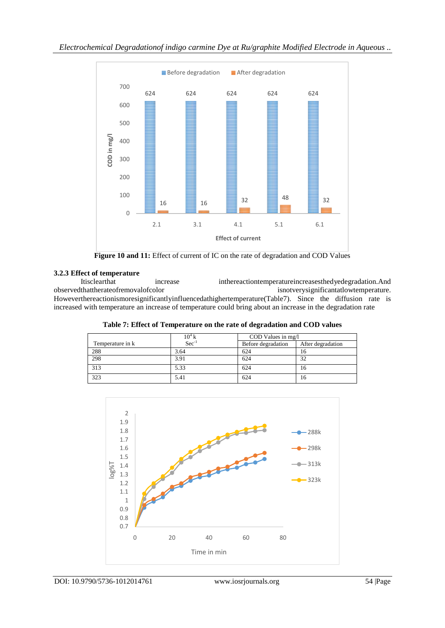

**Figure 10 and 11:** Effect of current of IC on the rate of degradation and COD Values

# **3.2.3 Effect of temperature**

Itisclearthat increase inthereactiontemperatureincreasesthedyedegradation.And observedthattherateofremovalofcolor isnotverysignificantatlowtemperature. isnotverysignificantatlowtemperature. Howeverthereactionismoresignificantlyinfluencedathighertemperature(Table7). Since the diffusion rate is increased with temperature an increase of temperature could bring about an increase in the degradation rate

|                  | $10^4$ k   | COD Values in mg/l |                   |
|------------------|------------|--------------------|-------------------|
| Temperature in k | $Sec^{-1}$ | Before degradation | After degradation |
| 288              | 3.64       | 624                | 16                |
| 298              | 3.91       | 624                | 32                |
| 313              | 5.33       | 624                | 16                |
| 323              | 5.41       | 624                | 16                |

**Table 7: Effect of Temperature on the rate of degradation and COD values**

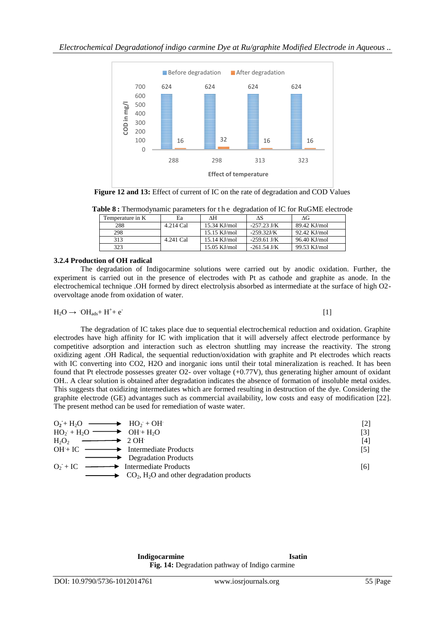

**Figure 12 and 13:** Effect of current of IC on the rate of degradation and COD Values

|  |  |  | Table 8: Thermodynamic parameters for the degradation of IC for RuGME electrode |  |
|--|--|--|---------------------------------------------------------------------------------|--|
|  |  |  |                                                                                 |  |

| Temperature in K | Ea        | ٨H             | ЛS            | ΛG           |
|------------------|-----------|----------------|---------------|--------------|
| 288              | 4.214 Cal | $15.34$ KJ/mol | $-257.23$ J/K | 89.42 KJ/mol |
| 298              |           | $15.15$ KJ/mol | $-259.32$ J/K | 92.42 KJ/mol |
| 313              | 4.241 Cal | $15.14$ KJ/mol | $-259.61$ J/K | 96.40 KJ/mol |
| 323              |           | $15.05$ KJ/mol | $-261.54$ J/K | 99.53 KJ/mol |

#### **3.2.4 Production of OH radical**

The degradation of Indigocarmine solutions were carried out by anodic oxidation. Further, the experiment is carried out in the presence of electrodes with Pt as cathode and graphite as anode. In the electrochemical technique .OH formed by direct electrolysis absorbed as intermediate at the surface of high O2 overvoltage anode from oxidation of water.

$$
H_2O \rightarrow OH_{ads} + H^+ + e^-
$$
 [1]

The degradation of IC takes place due to sequential electrochemical reduction and oxidation. Graphite electrodes have high affinity for IC with implication that it will adversely affect electrode performance by competitive adsorption and interaction such as electron shuttling may increase the reactivity. The strong oxidizing agent .OH Radical, the sequential reduction/oxidation with graphite and Pt electrodes which reacts with IC converting into CO2, H2O and inorganic ions until their total mineralization is reached. It has been found that Pt electrode possesses greater O2- over voltage (+0.77V), thus generating higher amount of oxidant OH.. A clear solution is obtained after degradation indicates the absence of formation of insoluble metal oxides. This suggests that oxidizing intermediates which are formed resulting in destruction of the dye. Considering the graphite electrode (GE) advantages such as commercial availability, low costs and easy of modification [22]. The present method can be used for remediation of waste water.

| $O_2 + H_2O \longrightarrow HO_2 + OH$                                              | $[2]$ |
|-------------------------------------------------------------------------------------|-------|
| $HO_2 + H_2O \longrightarrow OH + H_2O$                                             | [3]   |
| $H_2O_2$ $\longrightarrow$ 2 OH                                                     | [4]   |
| $OH + IC \longrightarrow$ Intermediate Products                                     | [5]   |
| Degradation Products                                                                |       |
| $Q_2 + IC \longrightarrow$ Intermediate Products                                    | [6]   |
| $\longrightarrow$ CO <sub>2</sub> , H <sub>2</sub> O and other degradation products |       |

**Indigocarmine** Isatin **Fig. 14:** Degradation pathway of Indigo carmine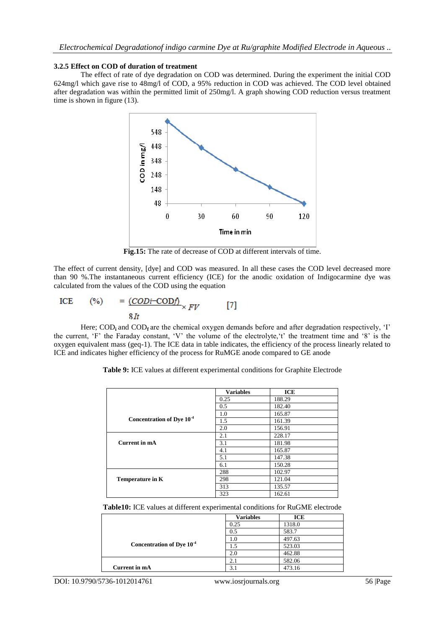#### **3.2.5 Effect on COD of duration of treatment**

The effect of rate of dye degradation on COD was determined. During the experiment the initial COD 624mg/l which gave rise to 48mg/l of COD, a 95% reduction in COD was achieved. The COD level obtained after degradation was within the permitted limit of 250mg/l. A graph showing COD reduction versus treatment time is shown in figure (13).



**Fig.15:** The rate of decrease of COD at different intervals of time.

The effect of current density, [dye] and COD was measured. In all these cases the COD level decreased more than 90 %.The instantaneous current efficiency (ICE) for the anodic oxidation of Indigocarmine dye was calculated from the values of the COD using the equation

ICE (%) = 
$$
\frac{(CODi-CODf)}{8It} \times FV
$$
 [7]

Here; COD<sub>i</sub> and COD<sub>f</sub> are the chemical oxygen demands before and after degradation respectively, 'I' the current, 'F' the Faraday constant, 'V' the volume of the electrolyte,'t' the treatment time and '8' is the oxygen equivalent mass (geq-1). The ICE data in table indicates, the efficiency of the process linearly related to ICE and indicates higher efficiency of the process for RuMGE anode compared to GE anode

|                                       | <b>Variables</b> | ICE    |  |
|---------------------------------------|------------------|--------|--|
|                                       | 0.25             | 188.29 |  |
|                                       | 0.5              | 182.40 |  |
|                                       | 1.0              | 165.87 |  |
| Concentration of Dye 10 <sup>-4</sup> | 1.5              | 161.39 |  |
|                                       | 2.0              | 156.91 |  |
|                                       | 2.1              | 228.17 |  |
| Current in mA                         | 3.1              | 181.98 |  |
|                                       | 4.1              | 165.87 |  |
|                                       | 5.1              | 147.38 |  |
|                                       | 6.1              | 150.28 |  |
|                                       | 288              | 102.97 |  |
| Temperature in K                      | 298              | 121.04 |  |
|                                       | 313              | 135.57 |  |
|                                       | 323              | 162.61 |  |

**Table 9:** ICE values at different experimental conditions for Graphite Electrode

**Table10:** ICE values at different experimental conditions for RuGME electrode

|                                       | <b>Variables</b> | ICE    |
|---------------------------------------|------------------|--------|
|                                       | 0.25             | 1318.0 |
|                                       | 0.5              | 583.7  |
| Concentration of Dye 10 <sup>-4</sup> | 1.0              | 497.63 |
|                                       |                  | 523.03 |
|                                       | 2.0              | 462.88 |
|                                       | 2.1              | 582.06 |
| Current in mA                         | 3.1              | 473.16 |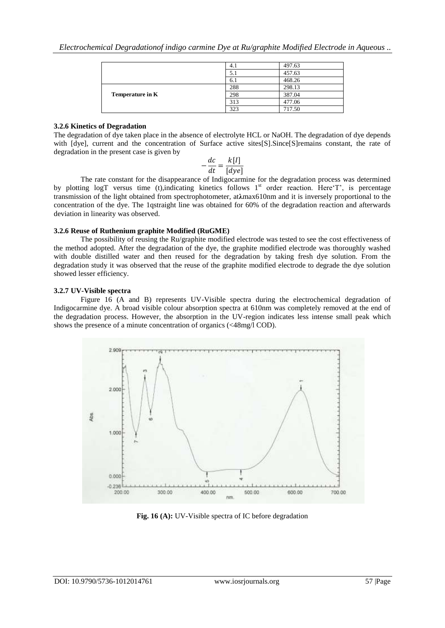|                  | 4.1 | 497.63 |
|------------------|-----|--------|
|                  | 5.1 | 457.63 |
|                  | 6.1 | 468.26 |
| Temperature in K | 288 | 298.13 |
|                  | 298 | 387.04 |
|                  | 313 | 477.06 |
|                  | 323 | 717.50 |

#### **3.2.6 Kinetics of Degradation**

The degradation of dye taken place in the absence of electrolyte HCL or NaOH. The degradation of dye depends with [dye], current and the concentration of Surface active sites[S].Since[S]remains constant, the rate of degradation in the present case is given by

$$
-\frac{dc}{dt} = \frac{k[I]}{[dye]}
$$

The rate constant for the disappearance of Indigocarmine for the degradation process was determined by plotting logT versus time (t),indicating kinetics follows  $1<sup>st</sup>$  order reaction. Here T', is percentage transmission of the light obtained from spectrophotometer, at**λ**max610nm and it is inversely proportional to the concentration of the dye. The 1qstraight line was obtained for 60% of the degradation reaction and afterwards deviation in linearity was observed.

#### **3.2.6 Reuse of Ruthenium graphite Modified (RuGME)**

The possibility of reusing the Ru/graphite modified electrode was tested to see the cost effectiveness of the method adopted. After the degradation of the dye, the graphite modified electrode was thoroughly washed with double distilled water and then reused for the degradation by taking fresh dye solution. From the degradation study it was observed that the reuse of the graphite modified electrode to degrade the dye solution showed lesser efficiency.

#### **3.2.7 UV-Visible spectra**

Figure 16 (A and B) represents UV-Visible spectra during the electrochemical degradation of Indigocarmine dye. A broad visible colour absorption spectra at 610nm was completely removed at the end of the degradation process. However, the absorption in the UV-region indicates less intense small peak which shows the presence of a minute concentration of organics (<48mg/l COD).



**Fig. 16 (A):** UV-Visible spectra of IC before degradation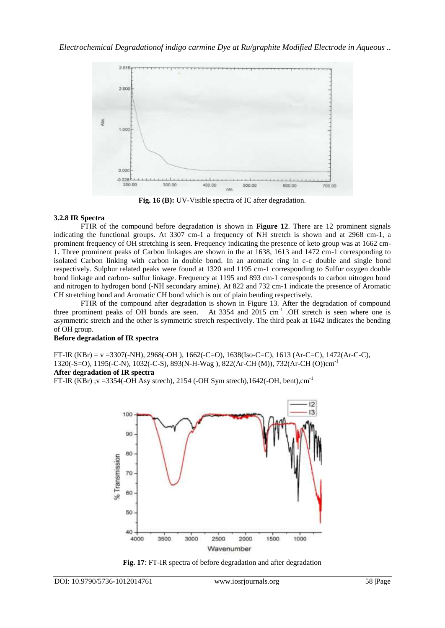

**Fig. 16 (B):** UV-Visible spectra of IC after degradation.

#### **3.2.8 IR Spectra**

FTIR of the compound before degradation is shown in **Figure 12**. There are 12 prominent signals indicating the functional groups. At 3307 cm-1 a frequency of NH stretch is shown and at 2968 cm-1, a prominent frequency of OH stretching is seen. Frequency indicating the presence of keto group was at 1662 cm-1. Three prominent peaks of Carbon linkages are shown in the at 1638, 1613 and 1472 cm-1 corresponding to isolated Carbon linking with carbon in double bond. In an aromatic ring in c-c double and single bond respectively. Sulphur related peaks were found at 1320 and 1195 cm-1 corresponding to Sulfur oxygen double bond linkage and carbon- sulfur linkage. Frequency at 1195 and 893 cm-1 corresponds to carbon nitrogen bond and nitrogen to hydrogen bond (-NH secondary amine). At 822 and 732 cm-1 indicate the presence of Aromatic CH stretching bond and Aromatic CH bond which is out of plain bending respectively.

FTIR of the compound after degradation is shown in Figure 13. After the degradation of compound three prominent peaks of OH bonds are seen. At 3354 and 2015 cm<sup>-1</sup> .OH stretch is seen where one is asymmetric stretch and the other is symmetric stretch respectively. The third peak at 1642 indicates the bending of OH group.

## **Before degradation of IR spectra**

FT-IR (KBr) = v =3307(-NH), 2968(-OH ), 1662(-C=O), 1638(Iso-C=C), 1613 (Ar-C=C), 1472(Ar-C-C), 1320(-S=O), 1195(-C-N), 1032(-C-S), 893(N-H-Wag ), 822(Ar-CH (M)), 732(Ar-CH (O))cm-1 **After degradation of IR spectra**

FT-IR (KBr) ;v =3354(-OH Asy strech), 2154 (-OH Sym strech),  $1642$ (-OH, bent),cm<sup>-1</sup>



**Fig. 17**: FT-IR spectra of before degradation and after degradation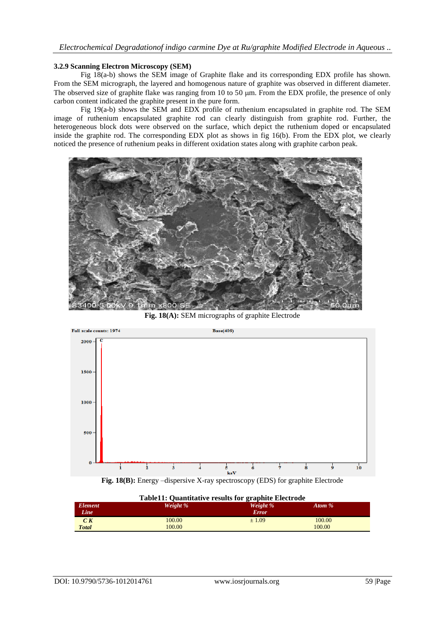#### **3.2.9 Scanning Electron Microscopy (SEM)**

Fig 18(a-b) shows the SEM image of Graphite flake and its corresponding EDX profile has shown. From the SEM micrograph, the layered and homogenous nature of graphite was observed in different diameter. The observed size of graphite flake was ranging from 10 to 50  $\mu$ m. From the EDX profile, the presence of only carbon content indicated the graphite present in the pure form.

Fig 19(a-b) shows the SEM and EDX profile of ruthenium encapsulated in graphite rod. The SEM image of ruthenium encapsulated graphite rod can clearly distinguish from graphite rod. Further, the heterogeneous block dots were observed on the surface, which depict the ruthenium doped or encapsulated inside the graphite rod. The corresponding EDX plot as shows in fig 16(b). From the EDX plot, we clearly noticed the presence of ruthenium peaks in different oxidation states along with graphite carbon peak.



**Fig. 18(A):** SEM micrographs of graphite Electrode



**Fig. 18(B):** Energy –dispersive X-ray spectroscopy (EDS) for graphite Electrode

| <b>Table11: Quantitative results for graphite Electrode</b> |          |              |        |  |  |  |
|-------------------------------------------------------------|----------|--------------|--------|--|--|--|
| <b>Element</b>                                              | Weight % | Weight %     | Atom % |  |  |  |
| Line                                                        |          | <b>Error</b> |        |  |  |  |
| C K                                                         | 100.00   | ±1.09        | 100.00 |  |  |  |
| <b>Total</b>                                                | 100.00   |              | 100.00 |  |  |  |
|                                                             |          |              |        |  |  |  |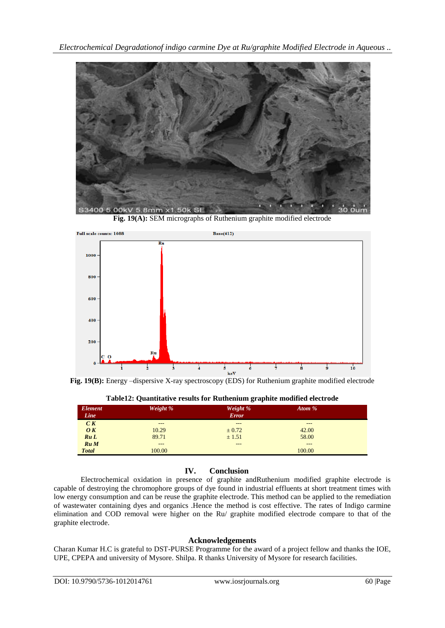

**Fig. 19(A):** SEM micrographs of Ruthenium graphite modified electrode



**Fig. 19(B):** Energy –dispersive X-ray spectroscopy (EDS) for Ruthenium graphite modified electrode

| Element<br>Line                 | Weight % | Weight %<br><b>Error</b> | Atom % |  |
|---------------------------------|----------|--------------------------|--------|--|
| C K                             | ---      | ---                      | ---    |  |
| $\boldsymbol{O} \boldsymbol{K}$ | 10.29    | $\pm 0.72$               | 42.00  |  |
| RuL                             | 89.71    | ± 1.51                   | 58.00  |  |
| Ru M                            | ---      | ---                      | ---    |  |
| <b>Total</b>                    | 100.00   |                          | 100.00 |  |

**Table12: Quantitative results for Ruthenium graphite modified electrode**

## **IV. Conclusion**

Electrochemical oxidation in presence of graphite andRuthenium modified graphite electrode is capable of destroying the chromophore groups of dye found in industrial effluents at short treatment times with low energy consumption and can be reuse the graphite electrode. This method can be applied to the remediation of wastewater containing dyes and organics .Hence the method is cost effective. The rates of Indigo carmine elimination and COD removal were higher on the Ru/ graphite modified electrode compare to that of the graphite electrode.

## **Acknowledgements**

Charan Kumar H.C is grateful to DST-PURSE Programme for the award of a project fellow and thanks the IOE, UPE, CPEPA and university of Mysore. Shilpa. R thanks University of Mysore for research facilities.